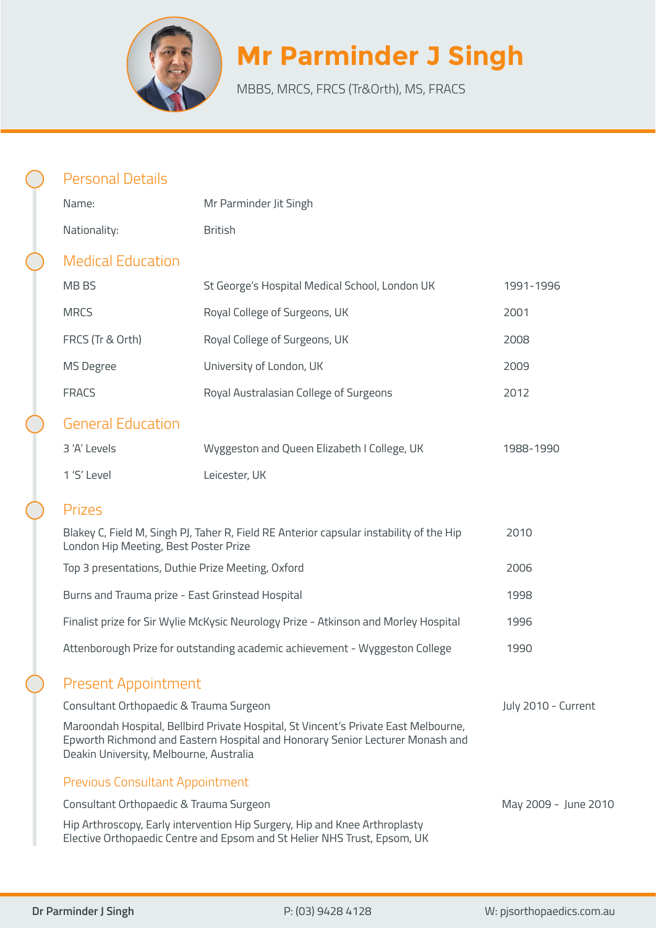

# **Mr Parminder J Singh**

MBBS, MRCS, FRCS (Tr&Orth), MS, FRACS

| <b>Personal Details</b>                                                                                                                                                                                         |                                                                                                                                                        |                      |
|-----------------------------------------------------------------------------------------------------------------------------------------------------------------------------------------------------------------|--------------------------------------------------------------------------------------------------------------------------------------------------------|----------------------|
| Name:                                                                                                                                                                                                           | Mr Parminder Jit Singh                                                                                                                                 |                      |
| Nationality:                                                                                                                                                                                                    | <b>British</b>                                                                                                                                         |                      |
| <b>Medical Education</b>                                                                                                                                                                                        |                                                                                                                                                        |                      |
| MB BS                                                                                                                                                                                                           | St George's Hospital Medical School, London UK                                                                                                         | 1991-1996            |
| <b>MRCS</b>                                                                                                                                                                                                     | Royal College of Surgeons, UK                                                                                                                          | 2001                 |
| FRCS (Tr & Orth)                                                                                                                                                                                                | Royal College of Surgeons, UK                                                                                                                          | 2008                 |
| MS Degree                                                                                                                                                                                                       | University of London, UK                                                                                                                               | 2009                 |
| <b>FRACS</b>                                                                                                                                                                                                    | Royal Australasian College of Surgeons                                                                                                                 | 2012                 |
| <b>General Education</b>                                                                                                                                                                                        |                                                                                                                                                        |                      |
| 3 'A' Levels                                                                                                                                                                                                    | Wyggeston and Queen Elizabeth I College, UK                                                                                                            | 1988-1990            |
| 1'S' Level                                                                                                                                                                                                      | Leicester, UK                                                                                                                                          |                      |
| <b>Prizes</b>                                                                                                                                                                                                   |                                                                                                                                                        |                      |
| London Hip Meeting, Best Poster Prize                                                                                                                                                                           | Blakey C, Field M, Singh PJ, Taher R, Field RE Anterior capsular instability of the Hip                                                                | 2010                 |
| Top 3 presentations, Duthie Prize Meeting, Oxford                                                                                                                                                               |                                                                                                                                                        | 2006                 |
| Burns and Trauma prize - East Grinstead Hospital                                                                                                                                                                |                                                                                                                                                        | 1998                 |
|                                                                                                                                                                                                                 | Finalist prize for Sir Wylie McKysic Neurology Prize - Atkinson and Morley Hospital                                                                    | 1996                 |
|                                                                                                                                                                                                                 | Attenborough Prize for outstanding academic achievement - Wyggeston College                                                                            | 1990                 |
| <b>Present Appointment</b>                                                                                                                                                                                      |                                                                                                                                                        |                      |
| Consultant Orthopaedic & Trauma Surgeon                                                                                                                                                                         |                                                                                                                                                        | July 2010 - Current  |
| Maroondah Hospital, Bellbird Private Hospital, St Vincent's Private East Melbourne,<br>Epworth Richmond and Eastern Hospital and Honorary Senior Lecturer Monash and<br>Deakin University, Melbourne, Australia |                                                                                                                                                        |                      |
| <b>Previous Consultant Appointment</b>                                                                                                                                                                          |                                                                                                                                                        |                      |
| Consultant Orthopaedic & Trauma Surgeon                                                                                                                                                                         |                                                                                                                                                        | May 2009 - June 2010 |
|                                                                                                                                                                                                                 | Hip Arthroscopy, Early intervention Hip Surgery, Hip and Knee Arthroplasty<br>Elective Orthopaedic Centre and Epsom and St Helier NHS Trust, Epsom, UK |                      |
|                                                                                                                                                                                                                 |                                                                                                                                                        |                      |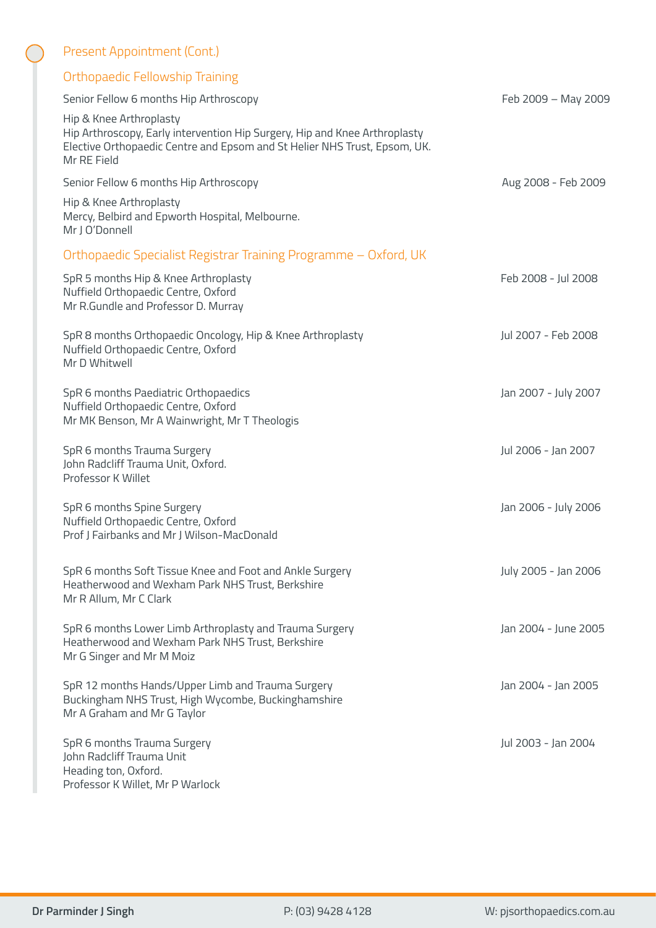| Present Appointment (Cont.)                                                                                                                                                                       |                      |
|---------------------------------------------------------------------------------------------------------------------------------------------------------------------------------------------------|----------------------|
| Orthopaedic Fellowship Training                                                                                                                                                                   |                      |
| Senior Fellow 6 months Hip Arthroscopy                                                                                                                                                            | Feb 2009 - May 2009  |
| Hip & Knee Arthroplasty<br>Hip Arthroscopy, Early intervention Hip Surgery, Hip and Knee Arthroplasty<br>Elective Orthopaedic Centre and Epsom and St Helier NHS Trust, Epsom, UK.<br>Mr RE Field |                      |
| Senior Fellow 6 months Hip Arthroscopy                                                                                                                                                            | Aug 2008 - Feb 2009  |
| Hip & Knee Arthroplasty<br>Mercy, Belbird and Epworth Hospital, Melbourne.<br>Mr J O'Donnell                                                                                                      |                      |
| Orthopaedic Specialist Registrar Training Programme - Oxford, UK                                                                                                                                  |                      |
| SpR 5 months Hip & Knee Arthroplasty<br>Nuffield Orthopaedic Centre, Oxford<br>Mr R.Gundle and Professor D. Murray                                                                                | Feb 2008 - Jul 2008  |
| SpR 8 months Orthopaedic Oncology, Hip & Knee Arthroplasty<br>Nuffield Orthopaedic Centre, Oxford<br>Mr D Whitwell                                                                                | Jul 2007 - Feb 2008  |
| SpR 6 months Paediatric Orthopaedics<br>Nuffield Orthopaedic Centre, Oxford<br>Mr MK Benson, Mr A Wainwright, Mr T Theologis                                                                      | Jan 2007 - July 2007 |
| SpR 6 months Trauma Surgery<br>John Radcliff Trauma Unit, Oxford.<br>Professor K Willet                                                                                                           | Jul 2006 - Jan 2007  |
| SpR 6 months Spine Surgery<br>Nuffield Orthopaedic Centre, Oxford<br>Prof J Fairbanks and Mr J Wilson-MacDonald                                                                                   | Jan 2006 - July 2006 |
| SpR 6 months Soft Tissue Knee and Foot and Ankle Surgery<br>Heatherwood and Wexham Park NHS Trust, Berkshire<br>Mr R Allum, Mr C Clark                                                            | July 2005 - Jan 2006 |
| SpR 6 months Lower Limb Arthroplasty and Trauma Surgery<br>Heatherwood and Wexham Park NHS Trust, Berkshire<br>Mr G Singer and Mr M Moiz                                                          | Jan 2004 - June 2005 |
| SpR 12 months Hands/Upper Limb and Trauma Surgery<br>Buckingham NHS Trust, High Wycombe, Buckinghamshire<br>Mr A Graham and Mr G Taylor                                                           | Jan 2004 - Jan 2005  |
| SpR 6 months Trauma Surgery<br>John Radcliff Trauma Unit<br>Heading ton, Oxford.<br>Professor K Willet, Mr P Warlock                                                                              | Jul 2003 - Jan 2004  |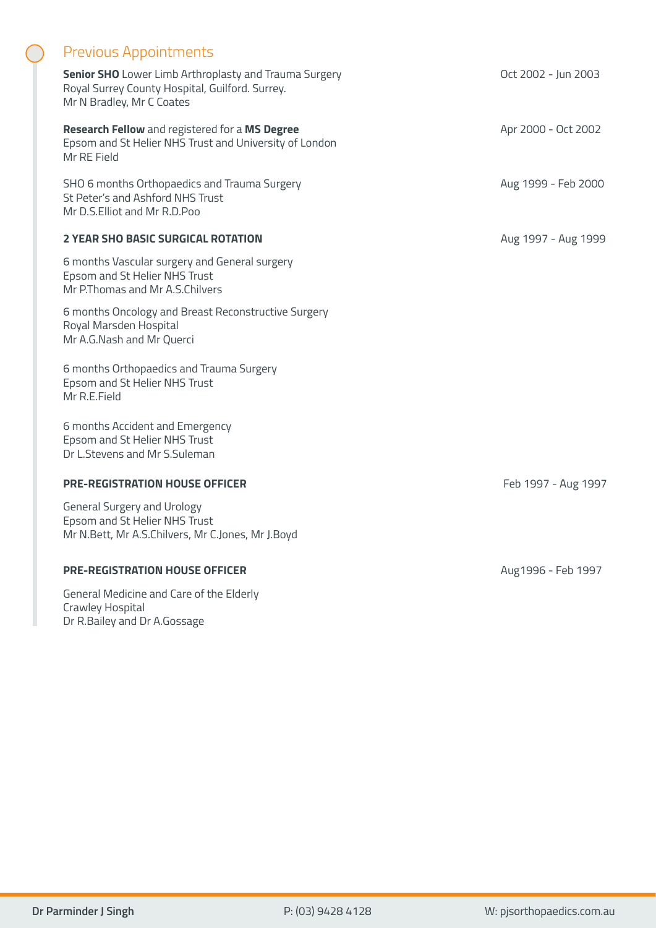## Previous Appointments

| <b>Senior SHO</b> Lower Limb Arthroplasty and Trauma Surgery |
|--------------------------------------------------------------|
| Royal Surrey County Hospital, Guilford. Surrey.              |
| Mr N Bradley, Mr C Coates                                    |

**Research Fellow** and registered for a **MS Degree** Epsom and St Helier NHS Trust and University of London Mr RE Field

SHO 6 months Orthopaedics and Trauma Surgery St Peter's and Ashford NHS Trust Mr D.S.Elliot and Mr R.D.Poo

#### **2 YEAR SHO BASIC SURGICAL ROTATION**

6 months Vascular surgery and General surgery Epsom and St Helier NHS Trust Mr P.Thomas and Mr A.S.Chilvers

6 months Oncology and Breast Reconstructive Surgery Royal Marsden Hospital Mr A.G.Nash and Mr Querci

6 months Orthopaedics and Trauma Surgery Epsom and St Helier NHS Trust Mr R.E.Field

6 months Accident and Emergency Epsom and St Helier NHS Trust Dr L.Stevens and Mr S.Suleman

#### **PRE-REGISTRATION HOUSE OFFICER**

General Surgery and Urology Epsom and St Helier NHS Trust Mr N.Bett, Mr A.S.Chilvers, Mr C.Jones, Mr J.Boyd

#### **PRE-REGISTRATION HOUSE OFFICER**

General Medicine and Care of the Elderly Crawley Hospital Dr R.Bailey and Dr A.Gossage

Oct 2002 - Jun 2003

Apr 2000 - Oct 2002

Aug 1999 - Feb 2000

Aug 1997 - Aug 1999

Feb 1997 - Aug 1997

Aug1996 - Feb 1997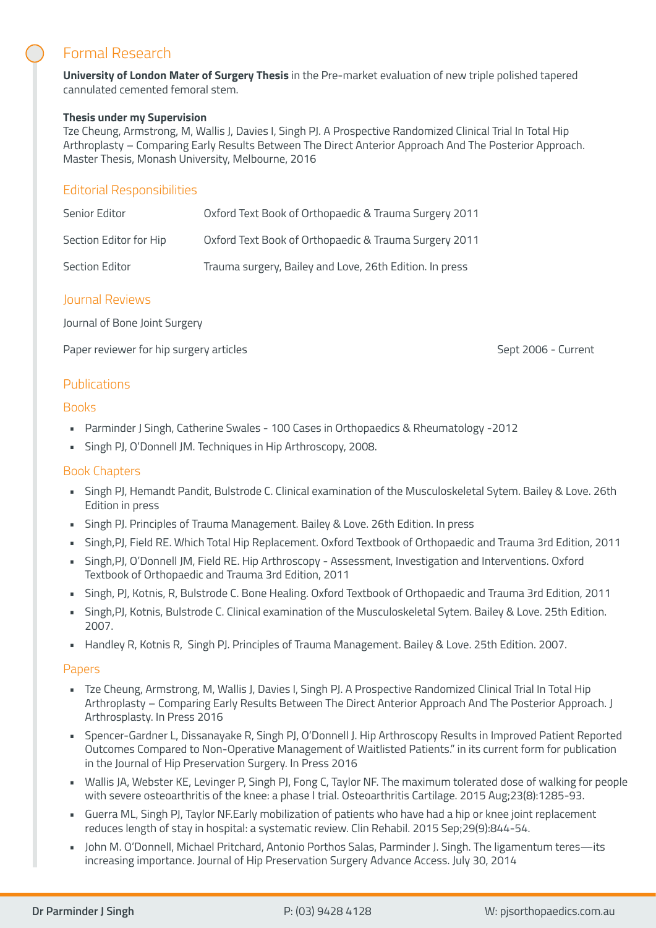# Formal Research

**University of London Mater of Surgery Thesis** in the Pre-market evaluation of new triple polished tapered cannulated cemented femoral stem.

#### **Thesis under my Supervision**

Tze Cheung, Armstrong, M, Wallis J, Davies I, Singh PJ. A Prospective Randomized Clinical Trial In Total Hip Arthroplasty – Comparing Early Results Between The Direct Anterior Approach And The Posterior Approach. Master Thesis, Monash University, Melbourne, 2016

#### Editorial Responsibilities

| Senior Editor          | Oxford Text Book of Orthopaedic & Trauma Surgery 2011   |
|------------------------|---------------------------------------------------------|
| Section Editor for Hip | Oxford Text Book of Orthopaedic & Trauma Surgery 2011   |
| Section Editor         | Trauma surgery, Bailey and Love, 26th Edition. In press |

#### Journal Reviews

Journal of Bone Joint Surgery

Paper reviewer for hip surgery articles Sept 2006 - Current

#### Publications

#### **Books**

- Parminder J Singh, Catherine Swales 100 Cases in Orthopaedics & Rheumatology -2012
- Singh PJ, O'Donnell JM. Techniques in Hip Arthroscopy, 2008.

#### Book Chapters

- Singh PJ, Hemandt Pandit, Bulstrode C. Clinical examination of the Musculoskeletal Sytem. Bailey & Love. 26th Edition in press
- Singh PJ. Principles of Trauma Management. Bailey & Love. 26th Edition. In press
- Singh,PJ, Field RE. Which Total Hip Replacement. Oxford Textbook of Orthopaedic and Trauma 3rd Edition, 2011
- Singh,PJ, O'Donnell JM, Field RE. Hip Arthroscopy Assessment, Investigation and Interventions. Oxford Textbook of Orthopaedic and Trauma 3rd Edition, 2011
- Singh, PJ, Kotnis, R, Bulstrode C. Bone Healing. Oxford Textbook of Orthopaedic and Trauma 3rd Edition, 2011
- Singh,PJ, Kotnis, Bulstrode C. Clinical examination of the Musculoskeletal Sytem. Bailey & Love. 25th Edition. 2007.
- Handley R, Kotnis R, Singh PJ. Principles of Trauma Management. Bailey & Love. 25th Edition. 2007.

#### Papers

- Tze Cheung, Armstrong, M, Wallis J, Davies I, Singh PJ. A Prospective Randomized Clinical Trial In Total Hip Arthroplasty – Comparing Early Results Between The Direct Anterior Approach And The Posterior Approach. J Arthrosplasty. In Press 2016
- Spencer-Gardner L, Dissanayake R, Singh PJ, O'Donnell J. Hip Arthroscopy Results in Improved Patient Reported Outcomes Compared to Non-Operative Management of Waitlisted Patients." in its current form for publication in the Journal of Hip Preservation Surgery. In Press 2016
- Wallis JA, Webster KE, Levinger P, Singh PJ, Fong C, Taylor NF. The maximum tolerated dose of walking for people with severe osteoarthritis of the knee: a phase I trial. Osteoarthritis Cartilage. 2015 Aug;23(8):1285-93.
- Guerra ML, Singh PJ, Taylor NF.Early mobilization of patients who have had a hip or knee joint replacement reduces length of stay in hospital: a systematic review. Clin Rehabil. 2015 Sep;29(9):844-54.
- John M. O'Donnell, Michael Pritchard, Antonio Porthos Salas, Parminder J. Singh. The ligamentum teres—its increasing importance. Journal of Hip Preservation Surgery Advance Access. July 30, 2014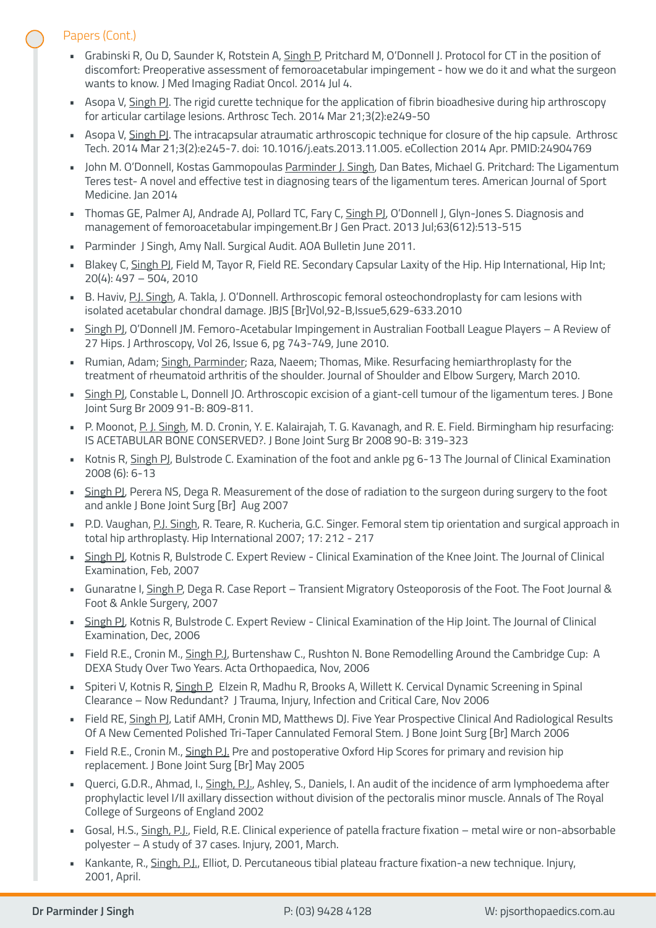### Papers (Cont.)

- Grabinski R, Ou D, Saunder K, Rotstein A, Singh P, Pritchard M, O'Donnell J. Protocol for CT in the position of discomfort: Preoperative assessment of femoroacetabular impingement - how we do it and what the surgeon wants to know. J Med Imaging Radiat Oncol. 2014 Jul 4.
- Asopa V, Singh PI. The rigid curette technique for the application of fibrin bioadhesive during hip arthroscopy for articular cartilage lesions. Arthrosc Tech. 2014 Mar 21;3(2):e249-50
- Asopa V, Singh PI. The intracapsular atraumatic arthroscopic technique for closure of the hip capsule. Arthrosc Tech. 2014 Mar 21;3(2):e245-7. doi: 10.1016/j.eats.2013.11.005. eCollection 2014 Apr. PMID:24904769
- John M. O'Donnell, Kostas Gammopoulas Parminder J. Singh, Dan Bates, Michael G. Pritchard: The Ligamentum Teres test- A novel and effective test in diagnosing tears of the ligamentum teres. American Journal of Sport Medicine. Jan 2014
- Thomas GE, Palmer AJ, Andrade AJ, Pollard TC, Fary C, Singh PJ, O'Donnell J, Glyn-Jones S. Diagnosis and management of femoroacetabular impingement.Br J Gen Pract. 2013 Jul;63(612):513-515
- Parminder J Singh, Amy Nall. Surgical Audit. AOA Bulletin June 2011.
- Blakey C, Singh PJ, Field M, Tayor R, Field RE. Secondary Capsular Laxity of the Hip. Hip International, Hip Int; 20(4): 497 – 504, 2010
- B. Haviv, P.J. Singh, A. Takla, J. O'Donnell. Arthroscopic femoral osteochondroplasty for cam lesions with isolated acetabular chondral damage. JBJS [Br]Vol,92-B,Issue5,629-633.2010
- Singh PJ, O'Donnell JM. Femoro-Acetabular Impingement in Australian Football League Players A Review of 27 Hips. J Arthroscopy, Vol 26, Issue 6, pg 743-749, June 2010.
- Rumian, Adam; Singh, Parminder; Raza, Naeem; Thomas, Mike. Resurfacing hemiarthroplasty for the treatment of rheumatoid arthritis of the shoulder. Journal of Shoulder and Elbow Surgery, March 2010.
- Singh PJ, Constable L, Donnell JO. Arthroscopic excision of a giant-cell tumour of the ligamentum teres. J Bone Joint Surg Br 2009 91-B: 809-811.
- P. Moonot, P. J. Singh, M. D. Cronin, Y. E. Kalairajah, T. G. Kavanagh, and R. E. Field. Birmingham hip resurfacing: IS ACETABULAR BONE CONSERVED?. J Bone Joint Surg Br 2008 90-B: 319-323
- Kotnis R, Singh PJ, Bulstrode C. Examination of the foot and ankle pg 6-13 The Journal of Clinical Examination 2008 (6): 6-13
- Singh PJ, Perera NS, Dega R. Measurement of the dose of radiation to the surgeon during surgery to the foot and ankle J Bone Joint Surg [Br] Aug 2007
- P.D. Vaughan, P.J. Singh, R. Teare, R. Kucheria, G.C. Singer. Femoral stem tip orientation and surgical approach in total hip arthroplasty. Hip International 2007; 17: 212 - 217
- Singh PJ, Kotnis R, Bulstrode C. Expert Review Clinical Examination of the Knee Joint. The Journal of Clinical Examination, Feb, 2007
- Gunaratne I, Singh P, Dega R. Case Report Transient Migratory Osteoporosis of the Foot. The Foot Journal & Foot & Ankle Surgery, 2007
- Singh PJ, Kotnis R, Bulstrode C. Expert Review Clinical Examination of the Hip Joint. The Journal of Clinical Examination, Dec, 2006
- Field R.E., Cronin M., Singh P.J, Burtenshaw C., Rushton N. Bone Remodelling Around the Cambridge Cup: A DEXA Study Over Two Years. Acta Orthopaedica, Nov, 2006
- Spiteri V, Kotnis R, Singh P, Elzein R, Madhu R, Brooks A, Willett K. Cervical Dynamic Screening in Spinal Clearance – Now Redundant? J Trauma, Injury, Infection and Critical Care, Nov 2006
- Field RE, Singh PJ, Latif AMH, Cronin MD, Matthews DJ. Five Year Prospective Clinical And Radiological Results Of A New Cemented Polished Tri-Taper Cannulated Femoral Stem. J Bone Joint Surg [Br] March 2006
- Field R.E., Cronin M., Singh P.J. Pre and postoperative Oxford Hip Scores for primary and revision hip replacement. J Bone Joint Surg [Br] May 2005
- Querci, G.D.R., Ahmad, I., Singh, P.J., Ashley, S., Daniels, I. An audit of the incidence of arm lymphoedema after prophylactic level I/II axillary dissection without division of the pectoralis minor muscle. Annals of The Royal College of Surgeons of England 2002
- Gosal, H.S., Singh, P.J., Field, R.E. Clinical experience of patella fracture fixation metal wire or non-absorbable polyester – A study of 37 cases. Injury, 2001, March.
- Kankante, R., Singh, P.J., Elliot, D. Percutaneous tibial plateau fracture fixation-a new technique. Injury, 2001, April.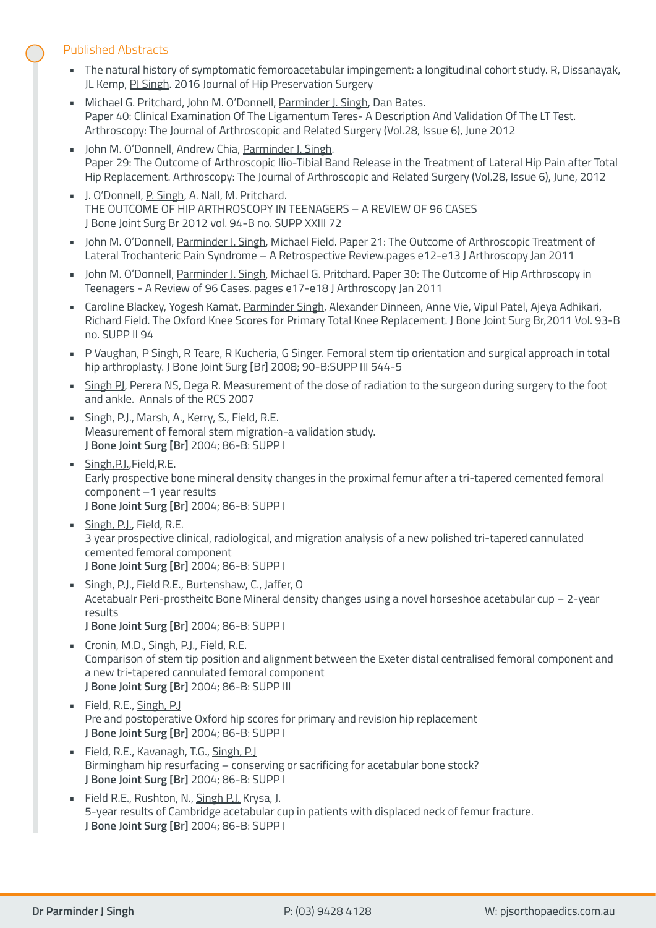#### Published Abstracts

- The natural history of symptomatic femoroacetabular impingement: a longitudinal cohort study. R, Dissanayak, JL Kemp, PJ Singh. 2016 Journal of Hip Preservation Surgery
- Michael G. Pritchard, John M. O'Donnell, Parminder J. Singh, Dan Bates. Paper 40: Clinical Examination Of The Ligamentum Teres- A Description And Validation Of The LT Test. Arthroscopy: The Journal of Arthroscopic and Related Surgery (Vol.28, Issue 6), June 2012
- John M. O'Donnell, Andrew Chia, Parminder J. Singh. Paper 29: The Outcome of Arthroscopic Ilio-Tibial Band Release in the Treatment of Lateral Hip Pain after Total Hip Replacement. Arthroscopy: The Journal of Arthroscopic and Related Surgery (Vol.28, Issue 6), June, 2012
- J. O'Donnell, P. Singh, A. Nall, M. Pritchard. THE OUTCOME OF HIP ARTHROSCOPY IN TEENAGERS – A REVIEW OF 96 CASES J Bone Joint Surg Br 2012 vol. 94-B no. SUPP XXIII 72
- John M. O'Donnell, Parminder J. Singh, Michael Field. Paper 21: The Outcome of Arthroscopic Treatment of Lateral Trochanteric Pain Syndrome – A Retrospective Review.pages e12-e13 J Arthroscopy Jan 2011
- John M. O'Donnell, Parminder J. Singh, Michael G. Pritchard. Paper 30: The Outcome of Hip Arthroscopy in Teenagers - A Review of 96 Cases. pages e17-e18 J Arthroscopy Jan 2011
- Caroline Blackey, Yogesh Kamat, Parminder Singh, Alexander Dinneen, Anne Vie, Vipul Patel, Ajeya Adhikari, Richard Field. The Oxford Knee Scores for Primary Total Knee Replacement. J Bone Joint Surg Br,2011 Vol. 93-B no. SUPP II 94
- P Vaughan, P Singh, R Teare, R Kucheria, G Singer. Femoral stem tip orientation and surgical approach in total hip arthroplasty. J Bone Joint Surg [Br] 2008; 90-B:SUPP III 544-5
- Singh PJ, Perera NS, Dega R. Measurement of the dose of radiation to the surgeon during surgery to the foot and ankle. Annals of the RCS 2007
- **· Singh, P.J., Marsh, A., Kerry, S., Field, R.E.** Measurement of femoral stem migration-a validation study. **J Bone Joint Surg [Br]** 2004; 86-B: SUPP I
- Singh, P.J., Field, R.E. Early prospective bone mineral density changes in the proximal femur after a tri-tapered cemented femoral component –1 year results **J Bone Joint Surg [Br]** 2004; 86-B: SUPP I
- Singh, P.J., Field, R.E. 3 year prospective clinical, radiological, and migration analysis of a new polished tri-tapered cannulated cemented femoral component **J Bone Joint Surg [Br]** 2004; 86-B: SUPP I
- Singh, P.J., Field R.E., Burtenshaw, C., Jaffer, O Acetabualr Peri-prostheitc Bone Mineral density changes using a novel horseshoe acetabular cup – 2-year results **J Bone Joint Surg [Br]** 2004; 86-B: SUPP I
- Cronin, M.D., Singh, P.J., Field, R.E. Comparison of stem tip position and alignment between the Exeter distal centralised femoral component and a new tri-tapered cannulated femoral component
- **J Bone Joint Surg [Br]** 2004; 86-B: SUPP III • Field, R.E., Singh, P.J Pre and postoperative Oxford hip scores for primary and revision hip replacement **J Bone Joint Surg [Br]** 2004; 86-B: SUPP I
- Field, R.E., Kavanagh, T.G., Singh, P.J Birmingham hip resurfacing – conserving or sacrificing for acetabular bone stock? **J Bone Joint Surg [Br]** 2004; 86-B: SUPP I
- Field R.E., Rushton, N., Singh P.J. Krysa, J. 5-year results of Cambridge acetabular cup in patients with displaced neck of femur fracture. **J Bone Joint Surg [Br]** 2004; 86-B: SUPP I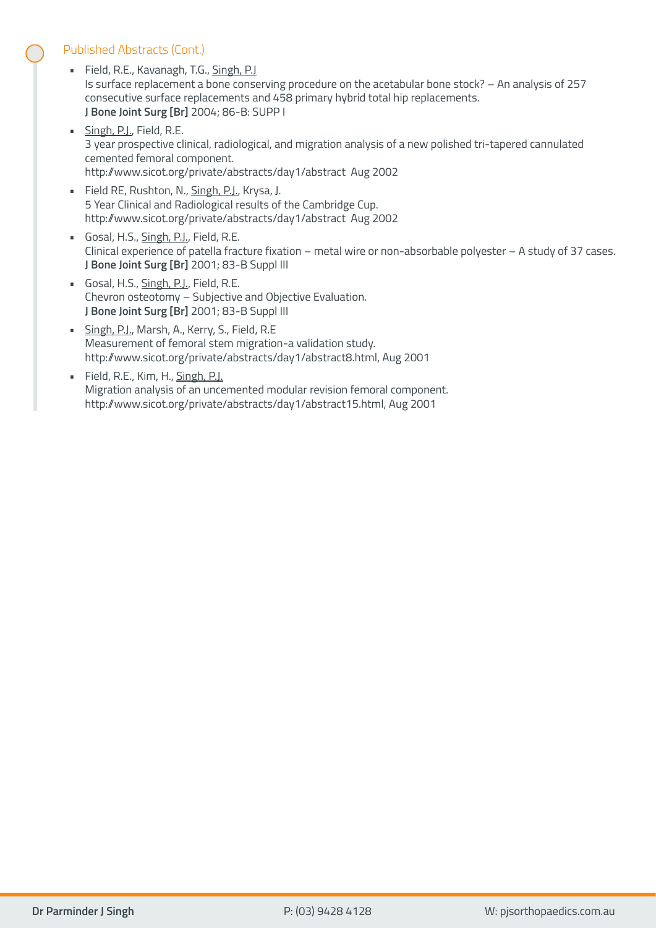#### Published Abstracts (Cont.)

- Field, R.E., Kavanagh, T.G., Singh, P.J Is surface replacement a bone conserving procedure on the acetabular bone stock? – An analysis of 257 consecutive surface replacements and 458 primary hybrid total hip replacements. **J Bone Joint Surg [Br]** 2004; 86-B: SUPP I
- **·** Singh, P.J., Field, R.E. 3 year prospective clinical, radiological, and migration analysis of a new polished tri-tapered cannulated cemented femoral component. http://www.sicot.org/private/abstracts/day1/abstract Aug 2002
- **Field RE, Rushton, N., Singh, P.J., Krysa, J.** 5 Year Clinical and Radiological results of the Cambridge Cup. http://www.sicot.org/private/abstracts/day1/abstract Aug 2002
- Gosal, H.S., Singh, P.J., Field, R.E. Clinical experience of patella fracture fixation – metal wire or non-absorbable polyester – A study of 37 cases. **J Bone Joint Surg [Br]** 2001; 83-B Suppl III
- Gosal, H.S., Singh, P.J., Field, R.E. Chevron osteotomy – Subjective and Objective Evaluation. **J Bone Joint Surg [Br]** 2001; 83-B Suppl III
- **· Singh, P.J., Marsh, A., Kerry, S., Field, R.E** Measurement of femoral stem migration-a validation study. http://www.sicot.org/private/abstracts/day1/abstract8.html, Aug 2001
- Field, R.E., Kim, H., Singh, P.J. Migration analysis of an uncemented modular revision femoral component. http://www.sicot.org/private/abstracts/day1/abstract15.html, Aug 2001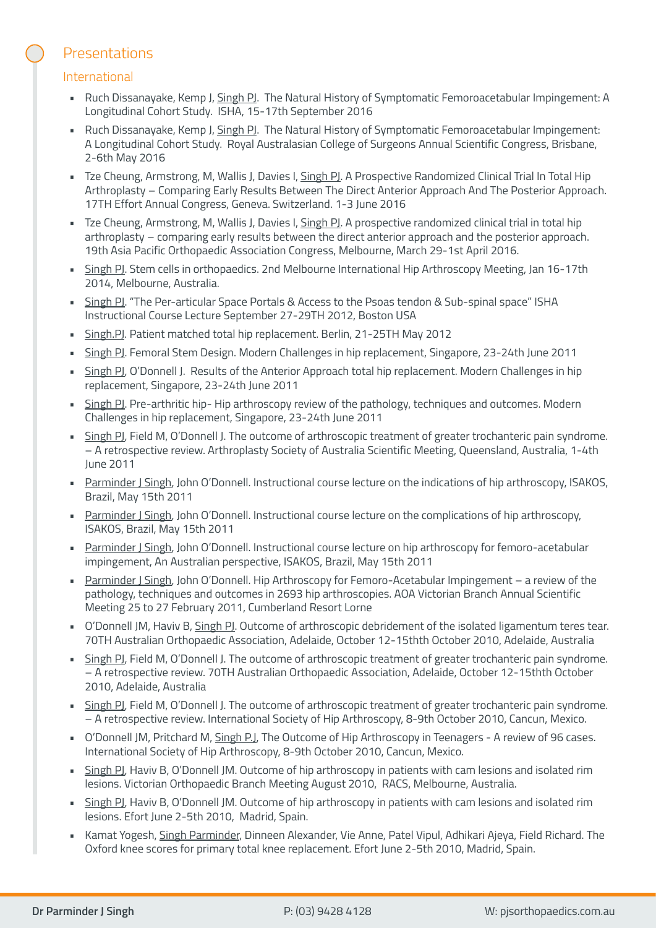# **Presentations**

#### International

- Ruch Dissanayake, Kemp J, Singh PJ. The Natural History of Symptomatic Femoroacetabular Impingement: A Longitudinal Cohort Study. ISHA, 15-17th September 2016
- Ruch Dissanayake, Kemp J, Singh PJ. The Natural History of Symptomatic Femoroacetabular Impingement: A Longitudinal Cohort Study. Royal Australasian College of Surgeons Annual Scientific Congress, Brisbane, 2-6th May 2016
- Tze Cheung, Armstrong, M, Wallis J, Davies I, Singh PJ. A Prospective Randomized Clinical Trial In Total Hip Arthroplasty – Comparing Early Results Between The Direct Anterior Approach And The Posterior Approach. 17TH Effort Annual Congress, Geneva. Switzerland. 1-3 June 2016
- Tze Cheung, Armstrong, M, Wallis J, Davies I, Singh PJ. A prospective randomized clinical trial in total hip arthroplasty – comparing early results between the direct anterior approach and the posterior approach. 19th Asia Pacific Orthopaedic Association Congress, Melbourne, March 29-1st April 2016.
- Singh PJ. Stem cells in orthopaedics. 2nd Melbourne International Hip Arthroscopy Meeting, Jan 16-17th 2014, Melbourne, Australia.
- **Example 15 Fer-articular Space Portals & Access to the Psoas tendon & Sub-spinal space" ISHA** Instructional Course Lecture September 27-29TH 2012, Boston USA
- Singh.PJ. Patient matched total hip replacement. Berlin, 21-25TH May 2012
- Singh PJ. Femoral Stem Design. Modern Challenges in hip replacement, Singapore, 23-24th June 2011
- Singh PJ, O'Donnell J. Results of the Anterior Approach total hip replacement. Modern Challenges in hip replacement, Singapore, 23-24th June 2011
- Singh PJ. Pre-arthritic hip- Hip arthroscopy review of the pathology, techniques and outcomes. Modern Challenges in hip replacement, Singapore, 23-24th June 2011
- Singh PJ, Field M, O'Donnell J. The outcome of arthroscopic treatment of greater trochanteric pain syndrome. – A retrospective review. Arthroplasty Society of Australia Scientific Meeting, Queensland, Australia, 1-4th June 2011
- Parminder J Singh, John O'Donnell. Instructional course lecture on the indications of hip arthroscopy, ISAKOS, Brazil, May 15th 2011
- Parminder J Singh, John O'Donnell. Instructional course lecture on the complications of hip arthroscopy, ISAKOS, Brazil, May 15th 2011
- Parminder J Singh, John O'Donnell. Instructional course lecture on hip arthroscopy for femoro-acetabular impingement, An Australian perspective, ISAKOS, Brazil, May 15th 2011
- Parminder J Singh, John O'Donnell. Hip Arthroscopy for Femoro-Acetabular Impingement a review of the pathology, techniques and outcomes in 2693 hip arthroscopies. AOA Victorian Branch Annual Scientific Meeting 25 to 27 February 2011, Cumberland Resort Lorne
- O'Donnell JM, Haviv B, Singh PJ. Outcome of arthroscopic debridement of the isolated ligamentum teres tear. 70TH Australian Orthopaedic Association, Adelaide, October 12-15thth October 2010, Adelaide, Australia
- Singh PJ, Field M, O'Donnell J. The outcome of arthroscopic treatment of greater trochanteric pain syndrome. – A retrospective review. 70TH Australian Orthopaedic Association, Adelaide, October 12-15thth October 2010, Adelaide, Australia
- Singh PJ, Field M, O'Donnell J. The outcome of arthroscopic treatment of greater trochanteric pain syndrome. – A retrospective review. International Society of Hip Arthroscopy, 8-9th October 2010, Cancun, Mexico.
- O'Donnell JM, Pritchard M, Singh P.J, The Outcome of Hip Arthroscopy in Teenagers A review of 96 cases. International Society of Hip Arthroscopy, 8-9th October 2010, Cancun, Mexico.
- Singh PJ, Haviv B, O'Donnell JM. Outcome of hip arthroscopy in patients with cam lesions and isolated rim lesions. Victorian Orthopaedic Branch Meeting August 2010, RACS, Melbourne, Australia.
- Singh PJ, Haviv B, O'Donnell JM. Outcome of hip arthroscopy in patients with cam lesions and isolated rim lesions. Efort June 2-5th 2010, Madrid, Spain.
- Kamat Yogesh, Singh Parminder, Dinneen Alexander, Vie Anne, Patel Vipul, Adhikari Ajeya, Field Richard. The Oxford knee scores for primary total knee replacement. Efort June 2-5th 2010, Madrid, Spain.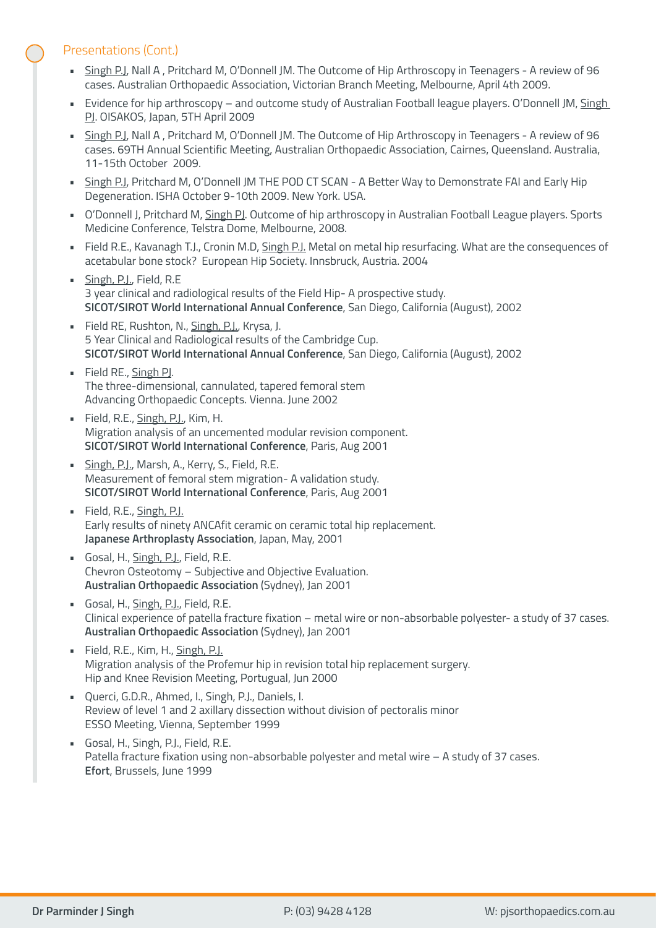#### Presentations (Cont.)

- Singh P.J, Nall A , Pritchard M, O'Donnell JM. The Outcome of Hip Arthroscopy in Teenagers A review of 96 cases. Australian Orthopaedic Association, Victorian Branch Meeting, Melbourne, April 4th 2009.
- Evidence for hip arthroscopy and outcome study of Australian Football league players. O'Donnell JM, Singh PJ. OISAKOS, Japan, 5TH April 2009
- Singh P.J, Nall A , Pritchard M, O'Donnell JM. The Outcome of Hip Arthroscopy in Teenagers A review of 96 cases. 69TH Annual Scientific Meeting, Australian Orthopaedic Association, Cairnes, Queensland. Australia, 11-15th October 2009.
- Singh P.J, Pritchard M, O'Donnell JM THE POD CT SCAN A Better Way to Demonstrate FAI and Early Hip Degeneration. ISHA October 9-10th 2009. New York. USA.
- O'Donnell J, Pritchard M, Singh PJ. Outcome of hip arthroscopy in Australian Football League players. Sports Medicine Conference, Telstra Dome, Melbourne, 2008.
- Field R.E., Kavanagh T.J., Cronin M.D, Singh P.J. Metal on metal hip resurfacing. What are the consequences of acetabular bone stock? European Hip Society. Innsbruck, Austria. 2004
- **· Singh, P.J., Field, R.E** 3 year clinical and radiological results of the Field Hip- A prospective study. **SICOT/SIROT World International Annual Conference**, San Diego, California (August), 2002
- **Field RE, Rushton, N., Singh, P.J., Krysa, J.** 5 Year Clinical and Radiological results of the Cambridge Cup. **SICOT/SIROT World International Annual Conference**, San Diego, California (August), 2002
- Field RE., Singh PJ. The three-dimensional, cannulated, tapered femoral stem Advancing Orthopaedic Concepts. Vienna. June 2002
- Field, R.E., Singh, P.J., Kim, H. Migration analysis of an uncemented modular revision component. **SICOT/SIROT World International Conference**, Paris, Aug 2001
- Singh, P.J., Marsh, A., Kerry, S., Field, R.E. Measurement of femoral stem migration- A validation study. **SICOT/SIROT World International Conference**, Paris, Aug 2001
- · Field, R.E., Singh, P.J. Early results of ninety ANCAfit ceramic on ceramic total hip replacement. **Japanese Arthroplasty Association**, Japan, May, 2001
- Gosal, H., Singh, P.J., Field, R.E. Chevron Osteotomy – Subjective and Objective Evaluation. **Australian Orthopaedic Association** (Sydney), Jan 2001
- Gosal, H., Singh, P.J., Field, R.E. Clinical experience of patella fracture fixation – metal wire or non-absorbable polyester- a study of 37 cases. **Australian Orthopaedic Association** (Sydney), Jan 2001
- Field, R.E., Kim, H., Singh, P.J. Migration analysis of the Profemur hip in revision total hip replacement surgery. Hip and Knee Revision Meeting, Portugual, Jun 2000
- Querci, G.D.R., Ahmed, I., Singh, P.J., Daniels, I. Review of level 1 and 2 axillary dissection without division of pectoralis minor ESSO Meeting, Vienna, September 1999
- Gosal, H., Singh, P.J., Field, R.E. Patella fracture fixation using non-absorbable polyester and metal wire – A study of 37 cases. **Efort**, Brussels, June 1999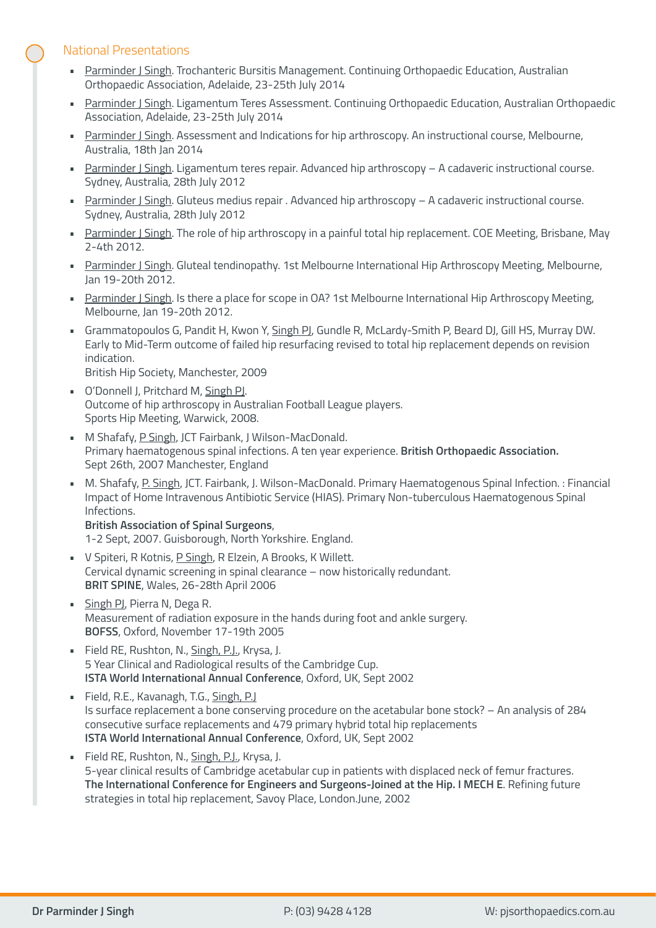#### National Presentations

- Parminder J Singh. Trochanteric Bursitis Management. Continuing Orthopaedic Education, Australian Orthopaedic Association, Adelaide, 23-25th July 2014
- Parminder J Singh. Ligamentum Teres Assessment. Continuing Orthopaedic Education, Australian Orthopaedic Association, Adelaide, 23-25th July 2014
- Parminder J Singh. Assessment and Indications for hip arthroscopy. An instructional course, Melbourne, Australia, 18th Jan 2014
- Parminder J Singh. Ligamentum teres repair. Advanced hip arthroscopy A cadaveric instructional course. Sydney, Australia, 28th July 2012
- Parminder J Singh. Gluteus medius repair . Advanced hip arthroscopy A cadaveric instructional course. Sydney, Australia, 28th July 2012
- Parminder J Singh. The role of hip arthroscopy in a painful total hip replacement. COE Meeting, Brisbane, May 2-4th 2012.
- Parminder J Singh. Gluteal tendinopathy. 1st Melbourne International Hip Arthroscopy Meeting, Melbourne, Jan 19-20th 2012.
- Parminder J Singh. Is there a place for scope in OA? 1st Melbourne International Hip Arthroscopy Meeting, Melbourne, Jan 19-20th 2012.
- Grammatopoulos G, Pandit H, Kwon Y, Singh PJ, Gundle R, McLardy-Smith P, Beard DJ, Gill HS, Murray DW. Early to Mid-Term outcome of failed hip resurfacing revised to total hip replacement depends on revision indication. British Hip Society, Manchester, 2009
- **O'Donnell J, Pritchard M, Singh PJ.** Outcome of hip arthroscopy in Australian Football League players. Sports Hip Meeting, Warwick, 2008.
- M Shafafy, P Singh, JCT Fairbank, J Wilson-MacDonald. Primary haematogenous spinal infections. A ten year experience. **British Orthopaedic Association.** Sept 26th, 2007 Manchester, England
- M. Shafafy, P. Singh, JCT. Fairbank, J. Wilson-MacDonald. Primary Haematogenous Spinal Infection. : Financial Impact of Home Intravenous Antibiotic Service (HIAS). Primary Non-tuberculous Haematogenous Spinal Infections.
	- **British Association of Spinal Surgeons**, 1-2 Sept, 2007. Guisborough, North Yorkshire. England.
- V Spiteri, R Kotnis, P Singh, R Elzein, A Brooks, K Willett. Cervical dynamic screening in spinal clearance – now historically redundant. **BRIT SPINE**, Wales, 26-28th April 2006
- **· Singh PJ, Pierra N, Dega R.** Measurement of radiation exposure in the hands during foot and ankle surgery. **BOFSS**, Oxford, November 17-19th 2005
- **Field RE, Rushton, N., Singh, P.J., Krysa, J.** 5 Year Clinical and Radiological results of the Cambridge Cup. **ISTA World International Annual Conference**, Oxford, UK, Sept 2002
- **Field, R.E., Kavanagh, T.G., Singh, P.J** Is surface replacement a bone conserving procedure on the acetabular bone stock? – An analysis of 284 consecutive surface replacements and 479 primary hybrid total hip replacements **ISTA World International Annual Conference**, Oxford, UK, Sept 2002
- Field RE, Rushton, N., Singh, P.J., Krysa, J. 5-year clinical results of Cambridge acetabular cup in patients with displaced neck of femur fractures. **The International Conference for Engineers and Surgeons-Joined at the Hip. I MECH E**. Refining future strategies in total hip replacement, Savoy Place, London.June, 2002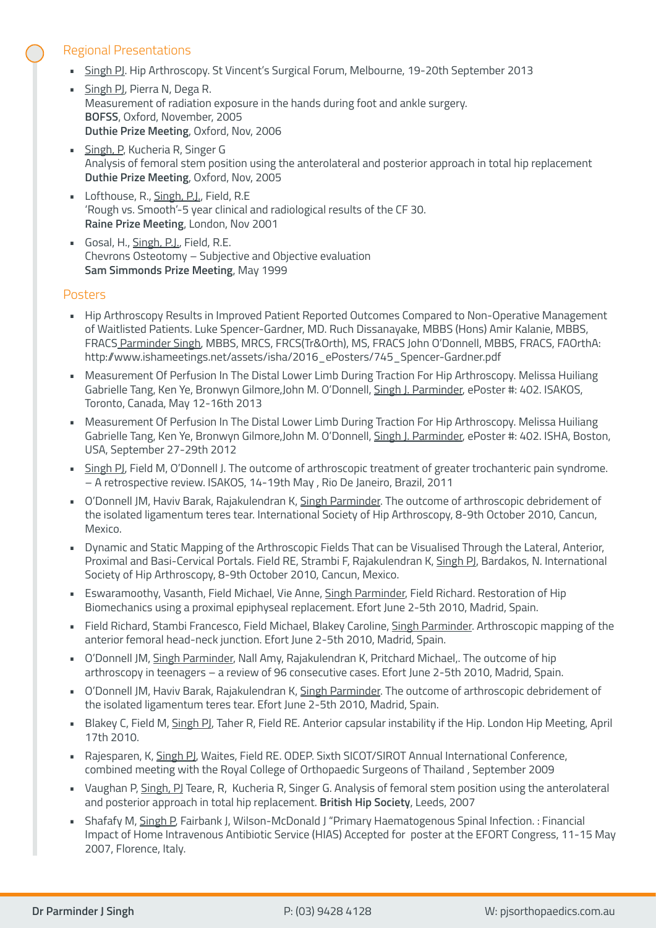#### Regional Presentations

- Singh PJ. Hip Arthroscopy. St Vincent's Surgical Forum, Melbourne, 19-20th September 2013
- Singh PJ, Pierra N, Dega R. Measurement of radiation exposure in the hands during foot and ankle surgery. **BOFSS**, Oxford, November, 2005 **Duthie Prize Meeting**, Oxford, Nov, 2006
- Singh, P, Kucheria R, Singer G Analysis of femoral stem position using the anterolateral and posterior approach in total hip replacement **Duthie Prize Meeting**, Oxford, Nov, 2005
- **Lofthouse, R., Singh, P.J., Field, R.E** 'Rough vs. Smooth'-5 year clinical and radiological results of the CF 30. **Raine Prize Meeting**, London, Nov 2001
- Gosal, H., Singh, P.J., Field, R.E. Chevrons Osteotomy – Subjective and Objective evaluation **Sam Simmonds Prize Meeting**, May 1999

#### Posters

- Hip Arthroscopy Results in Improved Patient Reported Outcomes Compared to Non-Operative Management of Waitlisted Patients. Luke Spencer-Gardner, MD. Ruch Dissanayake, MBBS (Hons) Amir Kalanie, MBBS, FRACS Parminder Singh, MBBS, MRCS, FRCS(Tr&Orth), MS, FRACS John O'Donnell, MBBS, FRACS, FAOrthA: http://www.ishameetings.net/assets/isha/2016\_ePosters/745\_Spencer-Gardner.pdf
- Measurement Of Perfusion In The Distal Lower Limb During Traction For Hip Arthroscopy. Melissa Huiliang Gabrielle Tang, Ken Ye, Bronwyn Gilmore,John M. O'Donnell, Singh J. Parminder, ePoster #: 402. ISAKOS, Toronto, Canada, May 12-16th 2013
- Measurement Of Perfusion In The Distal Lower Limb During Traction For Hip Arthroscopy. Melissa Huiliang Gabrielle Tang, Ken Ye, Bronwyn Gilmore,John M. O'Donnell, Singh J. Parminder, ePoster #: 402. ISHA, Boston, USA, September 27-29th 2012
- **EXTERF PI**, Field M, O'Donnell J. The outcome of arthroscopic treatment of greater trochanteric pain syndrome. – A retrospective review. ISAKOS, 14-19th May , Rio De Janeiro, Brazil, 2011
- O'Donnell JM, Haviv Barak, Rajakulendran K, Singh Parminder. The outcome of arthroscopic debridement of the isolated ligamentum teres tear. International Society of Hip Arthroscopy, 8-9th October 2010, Cancun, Mexico.
- Dynamic and Static Mapping of the Arthroscopic Fields That can be Visualised Through the Lateral, Anterior, Proximal and Basi-Cervical Portals. Field RE, Strambi F, Rajakulendran K, Singh PJ, Bardakos, N. International Society of Hip Arthroscopy, 8-9th October 2010, Cancun, Mexico.
- Eswaramoothy, Vasanth, Field Michael, Vie Anne, Singh Parminder, Field Richard. Restoration of Hip Biomechanics using a proximal epiphyseal replacement. Efort June 2-5th 2010, Madrid, Spain.
- Field Richard, Stambi Francesco, Field Michael, Blakey Caroline, Singh Parminder. Arthroscopic mapping of the anterior femoral head-neck junction. Efort June 2-5th 2010, Madrid, Spain.
- O'Donnell JM, Singh Parminder, Nall Amy, Rajakulendran K, Pritchard Michael,. The outcome of hip arthroscopy in teenagers – a review of 96 consecutive cases. Efort June 2-5th 2010, Madrid, Spain.
- O'Donnell JM, Haviv Barak, Rajakulendran K, Singh Parminder. The outcome of arthroscopic debridement of the isolated ligamentum teres tear. Efort June 2-5th 2010, Madrid, Spain.
- Blakey C, Field M, Singh PJ, Taher R, Field RE. Anterior capsular instability if the Hip. London Hip Meeting, April 17th 2010.
- Rajesparen, K, Singh PJ, Waites, Field RE. ODEP. Sixth SICOT/SIROT Annual International Conference, combined meeting with the Royal College of Orthopaedic Surgeons of Thailand, September 2009
- Vaughan P, Singh, PJ Teare, R, Kucheria R, Singer G. Analysis of femoral stem position using the anterolateral and posterior approach in total hip replacement. **British Hip Society**, Leeds, 2007
- Shafafy M, Singh P, Fairbank J, Wilson-McDonald J "Primary Haematogenous Spinal Infection. : Financial Impact of Home Intravenous Antibiotic Service (HIAS) Accepted for poster at the EFORT Congress, 11-15 May 2007, Florence, Italy.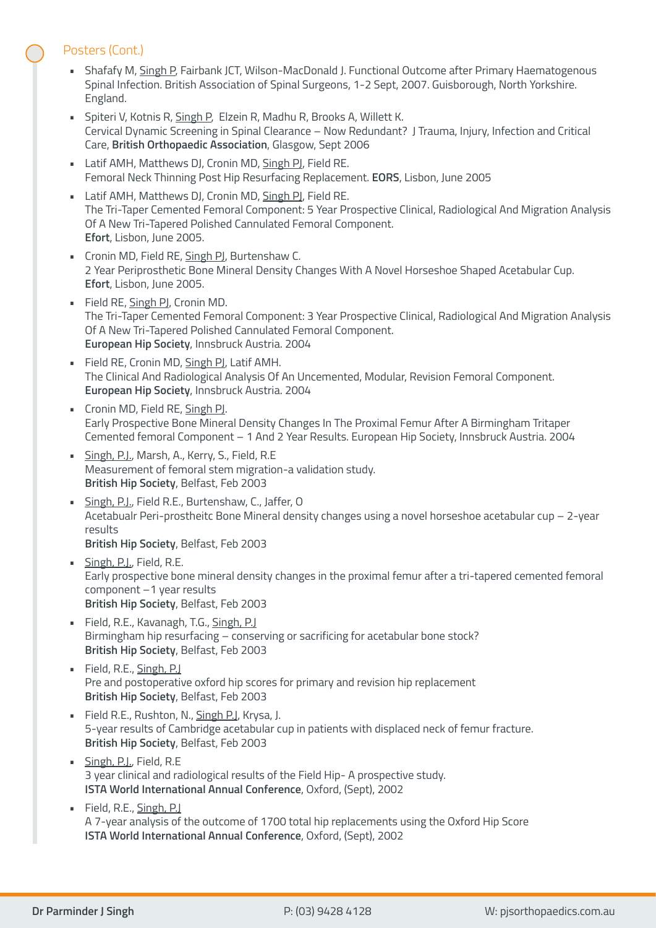#### Posters (Cont.)

- Shafafy M, Singh P, Fairbank JCT, Wilson-MacDonald J. Functional Outcome after Primary Haematogenous Spinal Infection. British Association of Spinal Surgeons, 1-2 Sept, 2007. Guisborough, North Yorkshire. England.
- Spiteri V, Kotnis R, Singh P, Elzein R, Madhu R, Brooks A, Willett K. Cervical Dynamic Screening in Spinal Clearance – Now Redundant? J Trauma, Injury, Infection and Critical Care, **British Orthopaedic Association**, Glasgow, Sept 2006
- Latif AMH, Matthews DJ, Cronin MD, Singh PJ, Field RE. Femoral Neck Thinning Post Hip Resurfacing Replacement. **EORS**, Lisbon, June 2005
- **-** Latif AMH, Matthews DJ, Cronin MD, Singh PJ, Field RE. The Tri-Taper Cemented Femoral Component: 5 Year Prospective Clinical, Radiological And Migration Analysis Of A New Tri-Tapered Polished Cannulated Femoral Component. **Efort**, Lisbon, June 2005.
- Cronin MD, Field RE, Singh PJ, Burtenshaw C. 2 Year Periprosthetic Bone Mineral Density Changes With A Novel Horseshoe Shaped Acetabular Cup. **Efort**, Lisbon, June 2005.
- Field RE, Singh PJ, Cronin MD. The Tri-Taper Cemented Femoral Component: 3 Year Prospective Clinical, Radiological And Migration Analysis Of A New Tri-Tapered Polished Cannulated Femoral Component. **European Hip Society**, Innsbruck Austria. 2004
- **Field RE, Cronin MD, Singh PJ, Latif AMH.** The Clinical And Radiological Analysis Of An Uncemented, Modular, Revision Femoral Component. **European Hip Society**, Innsbruck Austria. 2004
- Cronin MD, Field RE, Singh PJ. Early Prospective Bone Mineral Density Changes In The Proximal Femur After A Birmingham Tritaper Cemented femoral Component – 1 And 2 Year Results. European Hip Society, Innsbruck Austria. 2004
- Singh, P.J., Marsh, A., Kerry, S., Field, R.E. Measurement of femoral stem migration-a validation study. **British Hip Society**, Belfast, Feb 2003
- Singh, P.J., Field R.E., Burtenshaw, C., Jaffer, O Acetabualr Peri-prostheitc Bone Mineral density changes using a novel horseshoe acetabular cup – 2-year results **British Hip Society**, Belfast, Feb 2003
- Singh, P.J., Field, R.E. Early prospective bone mineral density changes in the proximal femur after a tri-tapered cemented femoral component –1 year results **British Hip Society**, Belfast, Feb 2003
- **•** Field, R.E., Kavanagh, T.G., Singh, P.J. Birmingham hip resurfacing – conserving or sacrificing for acetabular bone stock? **British Hip Society**, Belfast, Feb 2003
- Field, R.E., Singh, P.J Pre and postoperative oxford hip scores for primary and revision hip replacement **British Hip Society**, Belfast, Feb 2003
- Field R.E., Rushton, N., Singh P.J, Krysa, J. 5-year results of Cambridge acetabular cup in patients with displaced neck of femur fracture. **British Hip Society**, Belfast, Feb 2003
- Singh, P.J., Field, R.E. 3 year clinical and radiological results of the Field Hip- A prospective study. **ISTA World International Annual Conference**, Oxford, (Sept), 2002
- Field, R.E., Singh, P.J A 7-year analysis of the outcome of 1700 total hip replacements using the Oxford Hip Score **ISTA World International Annual Conference**, Oxford, (Sept), 2002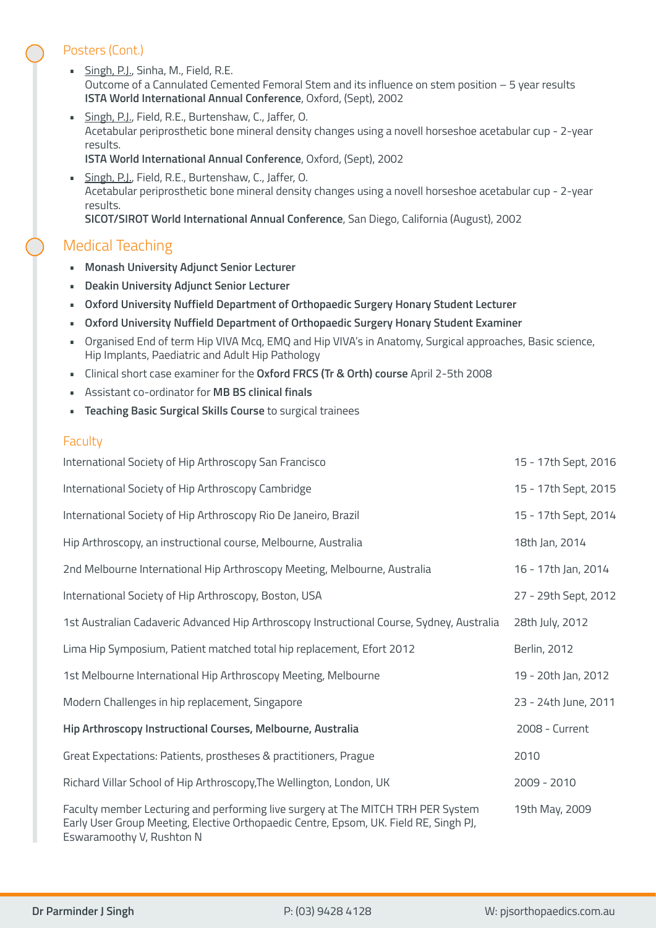#### Posters (Cont.)

- Singh, P.J., Sinha, M., Field, R.E. Outcome of a Cannulated Cemented Femoral Stem and its influence on stem position – 5 year results **ISTA World International Annual Conference**, Oxford, (Sept), 2002
- Singh, P.J., Field, R.E., Burtenshaw, C., Jaffer, O. Acetabular periprosthetic bone mineral density changes using a novell horseshoe acetabular cup - 2-year results.

**ISTA World International Annual Conference**, Oxford, (Sept), 2002

Singh, P.J., Field, R.E., Burtenshaw, C., Jaffer, O. Acetabular periprosthetic bone mineral density changes using a novell horseshoe acetabular cup - 2-year results. **SICOT/SIROT World International Annual Conference**, San Diego, California (August), 2002

# Medical Teaching

- **Monash University Adjunct Senior Lecturer**
- **Deakin University Adjunct Senior Lecturer**
- **Oxford University Nuffield Department of Orthopaedic Surgery Honary Student Lecturer**
- **Oxford University Nuffield Department of Orthopaedic Surgery Honary Student Examiner**
- Organised End of term Hip VIVA Mcq, EMQ and Hip VIVA's in Anatomy, Surgical approaches, Basic science, Hip Implants, Paediatric and Adult Hip Pathology
- Clinical short case examiner for the **Oxford FRCS (Tr & Orth) course** April 2-5th 2008
- Assistant co-ordinator for **MB BS clinical finals**
- **Teaching Basic Surgical Skills Course** to surgical trainees

#### **Faculty**

| International Society of Hip Arthroscopy San Francisco                                                                                                                                                 | 15 - 17th Sept, 2016 |
|--------------------------------------------------------------------------------------------------------------------------------------------------------------------------------------------------------|----------------------|
| International Society of Hip Arthroscopy Cambridge                                                                                                                                                     | 15 - 17th Sept, 2015 |
| International Society of Hip Arthroscopy Rio De Janeiro, Brazil                                                                                                                                        | 15 - 17th Sept, 2014 |
| Hip Arthroscopy, an instructional course, Melbourne, Australia                                                                                                                                         | 18th Jan, 2014       |
| 2nd Melbourne International Hip Arthroscopy Meeting, Melbourne, Australia                                                                                                                              | 16 - 17th Jan, 2014  |
| International Society of Hip Arthroscopy, Boston, USA                                                                                                                                                  | 27 - 29th Sept, 2012 |
| 1st Australian Cadaveric Advanced Hip Arthroscopy Instructional Course, Sydney, Australia                                                                                                              | 28th July, 2012      |
| Lima Hip Symposium, Patient matched total hip replacement, Efort 2012                                                                                                                                  | <b>Berlin, 2012</b>  |
| 1st Melbourne International Hip Arthroscopy Meeting, Melbourne                                                                                                                                         | 19 - 20th Jan, 2012  |
| Modern Challenges in hip replacement, Singapore                                                                                                                                                        | 23 - 24th June, 2011 |
| Hip Arthroscopy Instructional Courses, Melbourne, Australia                                                                                                                                            | 2008 - Current       |
| Great Expectations: Patients, prostheses & practitioners, Prague                                                                                                                                       | 2010                 |
| Richard Villar School of Hip Arthroscopy, The Wellington, London, UK                                                                                                                                   | $2009 - 2010$        |
| Faculty member Lecturing and performing live surgery at The MITCH TRH PER System<br>Early User Group Meeting, Elective Orthopaedic Centre, Epsom, UK. Field RE, Singh PJ,<br>Eswaramoothy V, Rushton N | 19th May, 2009       |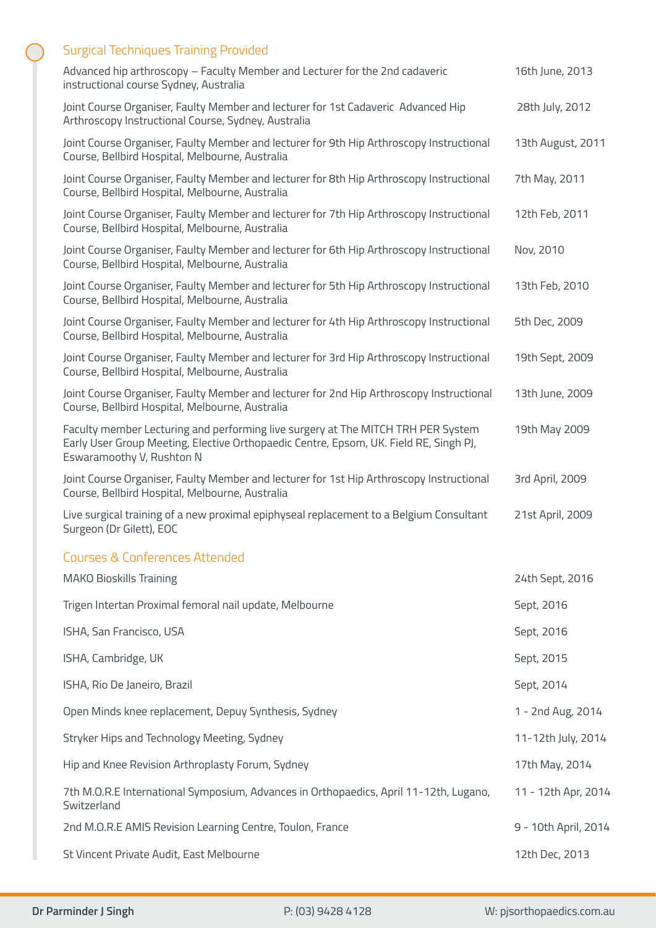# Surgical Techniques Training Provided

| Advanced hip arthroscopy - Faculty Member and Lecturer for the 2nd cadaveric<br>instructional course Sydney, Australia                                                                                 | 16th June, 2013      |
|--------------------------------------------------------------------------------------------------------------------------------------------------------------------------------------------------------|----------------------|
| Joint Course Organiser, Faulty Member and lecturer for 1st Cadaveric Advanced Hip<br>Arthroscopy Instructional Course, Sydney, Australia                                                               | 28th July, 2012      |
| Joint Course Organiser, Faulty Member and lecturer for 9th Hip Arthroscopy Instructional<br>Course, Bellbird Hospital, Melbourne, Australia                                                            | 13th August, 2011    |
| Joint Course Organiser, Faulty Member and lecturer for 8th Hip Arthroscopy Instructional<br>Course, Bellbird Hospital, Melbourne, Australia                                                            | 7th May, 2011        |
| Joint Course Organiser, Faulty Member and lecturer for 7th Hip Arthroscopy Instructional<br>Course, Bellbird Hospital, Melbourne, Australia                                                            | 12th Feb, 2011       |
| Joint Course Organiser, Faulty Member and lecturer for 6th Hip Arthroscopy Instructional<br>Course, Bellbird Hospital, Melbourne, Australia                                                            | Nov, 2010            |
| Joint Course Organiser, Faulty Member and lecturer for 5th Hip Arthroscopy Instructional<br>Course, Bellbird Hospital, Melbourne, Australia                                                            | 13th Feb, 2010       |
| Joint Course Organiser, Faulty Member and lecturer for 4th Hip Arthroscopy Instructional<br>Course, Bellbird Hospital, Melbourne, Australia                                                            | 5th Dec, 2009        |
| Joint Course Organiser, Faulty Member and lecturer for 3rd Hip Arthroscopy Instructional<br>Course, Bellbird Hospital, Melbourne, Australia                                                            | 19th Sept, 2009      |
| Joint Course Organiser, Faulty Member and lecturer for 2nd Hip Arthroscopy Instructional<br>Course, Bellbird Hospital, Melbourne, Australia                                                            | 13th June, 2009      |
| Faculty member Lecturing and performing live surgery at The MITCH TRH PER System<br>Early User Group Meeting, Elective Orthopaedic Centre, Epsom, UK. Field RE, Singh PJ,<br>Eswaramoothy V, Rushton N | 19th May 2009        |
| Joint Course Organiser, Faulty Member and lecturer for 1st Hip Arthroscopy Instructional<br>Course, Bellbird Hospital, Melbourne, Australia                                                            | 3rd April, 2009      |
| Live surgical training of a new proximal epiphyseal replacement to a Belgium Consultant<br>Surgeon (Dr Gilett), EOC                                                                                    | 21st April, 2009     |
| Courses & Conferences Attended                                                                                                                                                                         |                      |
| <b>MAKO Bioskills Training</b>                                                                                                                                                                         | 24th Sept, 2016      |
| Trigen Intertan Proximal femoral nail update, Melbourne                                                                                                                                                | Sept, 2016           |
| ISHA, San Francisco, USA                                                                                                                                                                               | Sept, 2016           |
| ISHA, Cambridge, UK                                                                                                                                                                                    | Sept, 2015           |
| ISHA, Rio De Janeiro, Brazil                                                                                                                                                                           | Sept, 2014           |
| Open Minds knee replacement, Depuy Synthesis, Sydney                                                                                                                                                   | 1 - 2nd Aug, 2014    |
| Stryker Hips and Technology Meeting, Sydney                                                                                                                                                            | 11-12th July, 2014   |
| Hip and Knee Revision Arthroplasty Forum, Sydney                                                                                                                                                       | 17th May, 2014       |
| 7th M.O.R.E International Symposium, Advances in Orthopaedics, April 11-12th, Lugano,<br>Switzerland                                                                                                   | 11 - 12th Apr, 2014  |
| 2nd M.O.R.E AMIS Revision Learning Centre, Toulon, France                                                                                                                                              | 9 - 10th April, 2014 |
| St Vincent Private Audit, East Melbourne                                                                                                                                                               | 12th Dec, 2013       |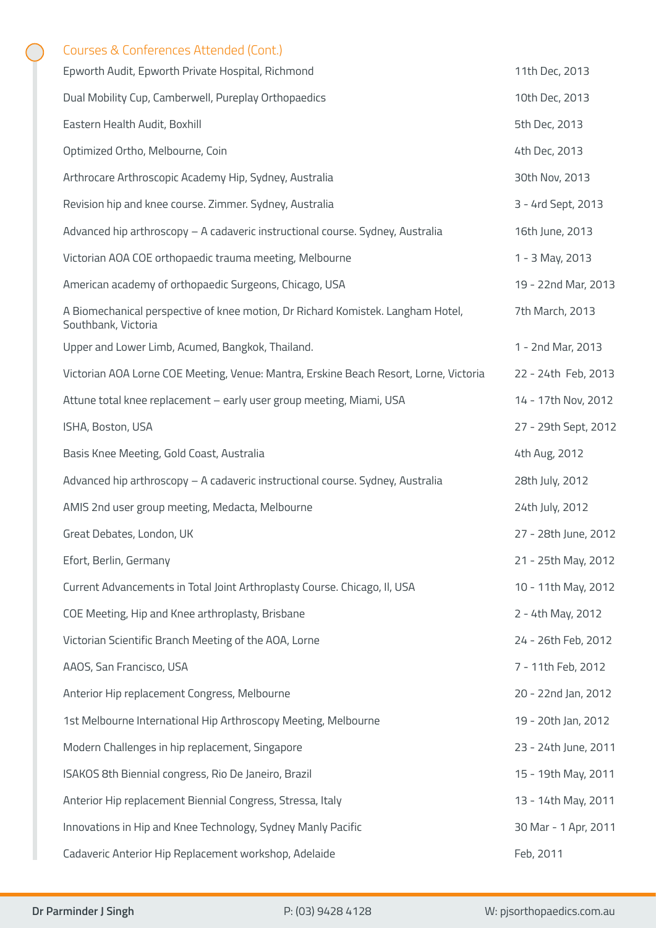# Courses & Conferences Attended (Cont.)

| Epworth Audit, Epworth Private Hospital, Richmond                                                      | 11th Dec, 2013       |
|--------------------------------------------------------------------------------------------------------|----------------------|
| Dual Mobility Cup, Camberwell, Pureplay Orthopaedics                                                   | 10th Dec, 2013       |
| Eastern Health Audit, Boxhill                                                                          | 5th Dec, 2013        |
| Optimized Ortho, Melbourne, Coin                                                                       | 4th Dec, 2013        |
| Arthrocare Arthroscopic Academy Hip, Sydney, Australia                                                 | 30th Nov, 2013       |
| Revision hip and knee course. Zimmer. Sydney, Australia                                                | 3 - 4rd Sept, 2013   |
| Advanced hip arthroscopy - A cadaveric instructional course. Sydney, Australia                         | 16th June, 2013      |
| Victorian AOA COE orthopaedic trauma meeting, Melbourne                                                | 1 - 3 May, 2013      |
| American academy of orthopaedic Surgeons, Chicago, USA                                                 | 19 - 22nd Mar, 2013  |
| A Biomechanical perspective of knee motion, Dr Richard Komistek. Langham Hotel,<br>Southbank, Victoria | 7th March, 2013      |
| Upper and Lower Limb, Acumed, Bangkok, Thailand.                                                       | 1 - 2nd Mar, 2013    |
| Victorian AOA Lorne COE Meeting, Venue: Mantra, Erskine Beach Resort, Lorne, Victoria                  | 22 - 24th Feb, 2013  |
| Attune total knee replacement - early user group meeting, Miami, USA                                   | 14 - 17th Nov, 2012  |
| ISHA, Boston, USA                                                                                      | 27 - 29th Sept, 2012 |
| Basis Knee Meeting, Gold Coast, Australia                                                              | 4th Aug, 2012        |
| Advanced hip arthroscopy - A cadaveric instructional course. Sydney, Australia                         | 28th July, 2012      |
| AMIS 2nd user group meeting, Medacta, Melbourne                                                        | 24th July, 2012      |
| Great Debates, London, UK                                                                              | 27 - 28th June, 2012 |
| Efort, Berlin, Germany                                                                                 | 21 - 25th May, 2012  |
| Current Advancements in Total Joint Arthroplasty Course. Chicago, II, USA                              | 10 - 11th May, 2012  |
| COE Meeting, Hip and Knee arthroplasty, Brisbane                                                       | 2 - 4th May, 2012    |
| Victorian Scientific Branch Meeting of the AOA, Lorne                                                  | 24 - 26th Feb, 2012  |
| AAOS, San Francisco, USA                                                                               | 7 - 11th Feb, 2012   |
| Anterior Hip replacement Congress, Melbourne                                                           | 20 - 22nd Jan, 2012  |
| 1st Melbourne International Hip Arthroscopy Meeting, Melbourne                                         | 19 - 20th Jan, 2012  |
| Modern Challenges in hip replacement, Singapore                                                        | 23 - 24th June, 2011 |
| ISAKOS 8th Biennial congress, Rio De Janeiro, Brazil                                                   | 15 - 19th May, 2011  |
| Anterior Hip replacement Biennial Congress, Stressa, Italy                                             | 13 - 14th May, 2011  |
| Innovations in Hip and Knee Technology, Sydney Manly Pacific                                           | 30 Mar - 1 Apr, 2011 |
| Cadaveric Anterior Hip Replacement workshop, Adelaide                                                  | Feb, 2011            |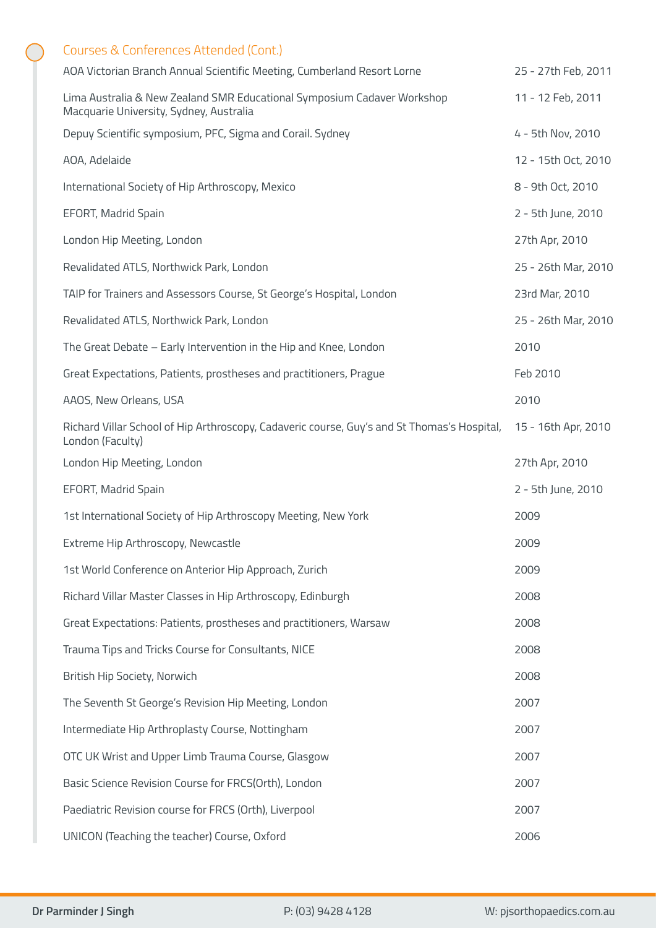| Courses & Conferences Attended (Cont.)                                                                             |                     |
|--------------------------------------------------------------------------------------------------------------------|---------------------|
| AOA Victorian Branch Annual Scientific Meeting, Cumberland Resort Lorne                                            | 25 - 27th Feb, 2011 |
| Lima Australia & New Zealand SMR Educational Symposium Cadaver Workshop<br>Macquarie University, Sydney, Australia | 11 - 12 Feb, 2011   |
| Depuy Scientific symposium, PFC, Sigma and Corail. Sydney                                                          | 4 - 5th Nov, 2010   |
| AOA, Adelaide                                                                                                      | 12 - 15th Oct, 2010 |
| International Society of Hip Arthroscopy, Mexico                                                                   | 8 - 9th Oct, 2010   |
| EFORT, Madrid Spain                                                                                                | 2 - 5th June, 2010  |
| London Hip Meeting, London                                                                                         | 27th Apr, 2010      |
| Revalidated ATLS, Northwick Park, London                                                                           | 25 - 26th Mar, 2010 |
| TAIP for Trainers and Assessors Course, St George's Hospital, London                                               | 23rd Mar, 2010      |
| Revalidated ATLS, Northwick Park, London                                                                           | 25 - 26th Mar, 2010 |
| The Great Debate - Early Intervention in the Hip and Knee, London                                                  | 2010                |
| Great Expectations, Patients, prostheses and practitioners, Prague                                                 | Feb 2010            |
| AAOS, New Orleans, USA                                                                                             | 2010                |
| Richard Villar School of Hip Arthroscopy, Cadaveric course, Guy's and St Thomas's Hospital,<br>London (Faculty)    | 15 - 16th Apr, 2010 |
|                                                                                                                    |                     |
| London Hip Meeting, London                                                                                         | 27th Apr, 2010      |
| EFORT, Madrid Spain                                                                                                | 2 - 5th June, 2010  |
| 1st International Society of Hip Arthroscopy Meeting, New York                                                     | 2009                |
| Extreme Hip Arthroscopy, Newcastle                                                                                 | 2009                |
| 1st World Conference on Anterior Hip Approach, Zurich                                                              | 2009                |
| Richard Villar Master Classes in Hip Arthroscopy, Edinburgh                                                        | 2008                |
| Great Expectations: Patients, prostheses and practitioners, Warsaw                                                 | 2008                |
| Trauma Tips and Tricks Course for Consultants, NICE                                                                | 2008                |
| British Hip Society, Norwich                                                                                       | 2008                |
| The Seventh St George's Revision Hip Meeting, London                                                               | 2007                |
| Intermediate Hip Arthroplasty Course, Nottingham                                                                   | 2007                |
| OTC UK Wrist and Upper Limb Trauma Course, Glasgow                                                                 | 2007                |
| Basic Science Revision Course for FRCS(Orth), London                                                               | 2007                |
| Paediatric Revision course for FRCS (Orth), Liverpool                                                              | 2007                |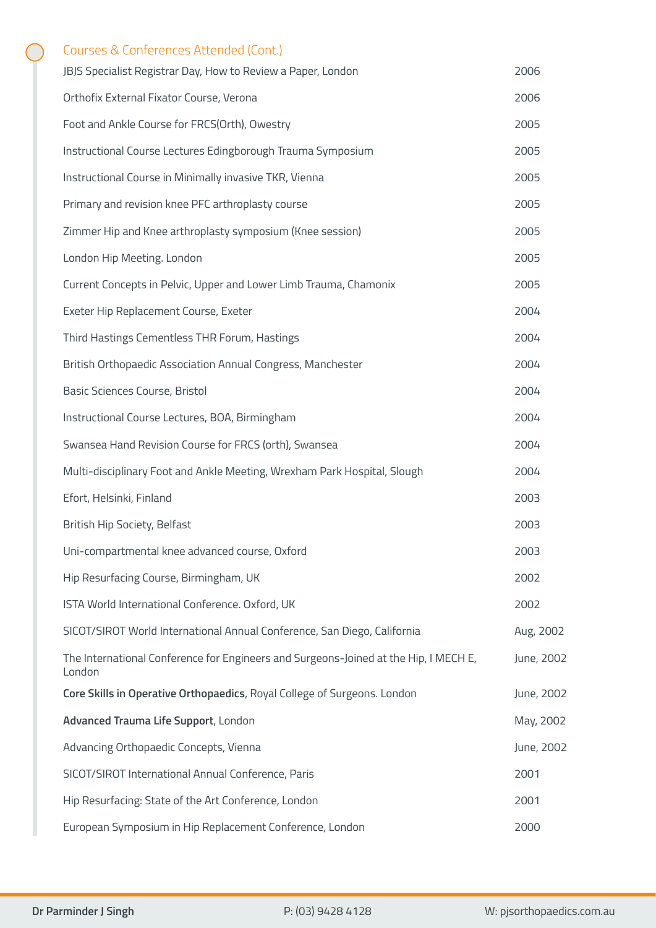# Courses & Conferences Attended (Cont.)

| JBJS Specialist Registrar Day, How to Review a Paper, London                                   | 2006       |
|------------------------------------------------------------------------------------------------|------------|
| Orthofix External Fixator Course, Verona                                                       | 2006       |
| Foot and Ankle Course for FRCS(Orth), Owestry                                                  | 2005       |
| Instructional Course Lectures Edingborough Trauma Symposium                                    | 2005       |
| Instructional Course in Minimally invasive TKR, Vienna                                         | 2005       |
| Primary and revision knee PFC arthroplasty course                                              | 2005       |
| Zimmer Hip and Knee arthroplasty symposium (Knee session)                                      | 2005       |
| London Hip Meeting. London                                                                     | 2005       |
| Current Concepts in Pelvic, Upper and Lower Limb Trauma, Chamonix                              | 2005       |
| Exeter Hip Replacement Course, Exeter                                                          | 2004       |
| Third Hastings Cementless THR Forum, Hastings                                                  | 2004       |
| British Orthopaedic Association Annual Congress, Manchester                                    | 2004       |
| Basic Sciences Course, Bristol                                                                 | 2004       |
| Instructional Course Lectures, BOA, Birmingham                                                 | 2004       |
| Swansea Hand Revision Course for FRCS (orth), Swansea                                          | 2004       |
| Multi-disciplinary Foot and Ankle Meeting, Wrexham Park Hospital, Slough                       | 2004       |
| Efort, Helsinki, Finland                                                                       | 2003       |
| British Hip Society, Belfast                                                                   | 2003       |
| Uni-compartmental knee advanced course, Oxford                                                 | 2003       |
| Hip Resurfacing Course, Birmingham, UK                                                         | 2002       |
| ISTA World International Conference. Oxford, UK                                                | 2002       |
| SICOT/SIROT World International Annual Conference, San Diego, California                       | Aug, 2002  |
| The International Conference for Engineers and Surgeons-Joined at the Hip, I MECH E,<br>London | June, 2002 |
| Core Skills in Operative Orthopaedics, Royal College of Surgeons. London                       | June, 2002 |
| Advanced Trauma Life Support, London                                                           | May, 2002  |
| Advancing Orthopaedic Concepts, Vienna                                                         | June, 2002 |
| SICOT/SIROT International Annual Conference, Paris                                             | 2001       |
| Hip Resurfacing: State of the Art Conference, London                                           | 2001       |
| European Symposium in Hip Replacement Conference, London                                       | 2000       |